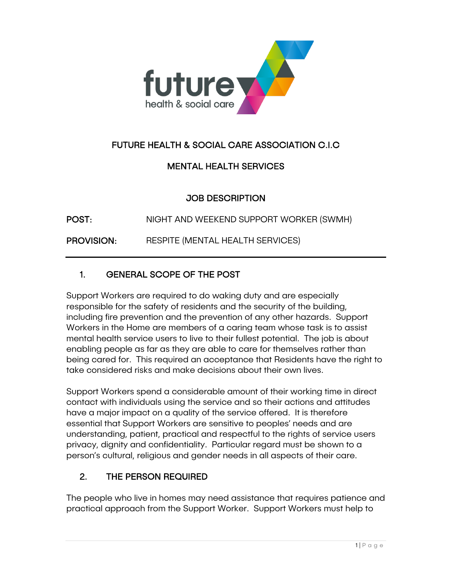

# FUTURE HEALTH & SOCIAL CARE ASSOCIATION C.I.C

## MENTAL HEALTH SERVICES

JOB DESCRIPTION

POST: NIGHT AND WEEKEND SUPPORT WORKER (SWMH)

PROVISION: RESPITE (MENTAL HEALTH SERVICES)

## 1. GENERAL SCOPE OF THE POST

Support Workers are required to do waking duty and are especially responsible for the safety of residents and the security of the building, including fire prevention and the prevention of any other hazards. Support Workers in the Home are members of a caring team whose task is to assist mental health service users to live to their fullest potential. The job is about enabling people as far as they are able to care for themselves rather than being cared for. This required an acceptance that Residents have the right to take considered risks and make decisions about their own lives.

Support Workers spend a considerable amount of their working time in direct contact with individuals using the service and so their actions and attitudes have a major impact on a quality of the service offered. It is therefore essential that Support Workers are sensitive to peoples' needs and are understanding, patient, practical and respectful to the rights of service users privacy, dignity and confidentiality. Particular regard must be shown to a person's cultural, religious and gender needs in all aspects of their care.

#### 2. THE PERSON REQUIRED

The people who live in homes may need assistance that requires patience and practical approach from the Support Worker. Support Workers must help to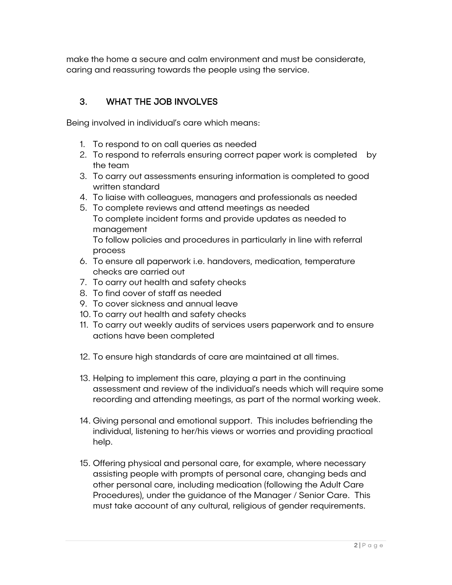make the home a secure and calm environment and must be considerate, caring and reassuring towards the people using the service.

## 3. WHAT THE JOB INVOLVES

Being involved in individual's care which means:

- 1. To respond to on call queries as needed
- 2. To respond to referrals ensuring correct paper work is completed by the team
- 3. To carry out assessments ensuring information is completed to good written standard
- 4. To liaise with colleagues, managers and professionals as needed
- 5. To complete reviews and attend meetings as needed To complete incident forms and provide updates as needed to management To follow policies and procedures in particularly in line with referral process
- 6. To ensure all paperwork i.e. handovers, medication, temperature checks are carried out
- 7. To carry out health and safety checks
- 8. To find cover of staff as needed
- 9. To cover sickness and annual leave
- 10. To carry out health and safety checks
- 11. To carry out weekly audits of services users paperwork and to ensure actions have been completed
- 12. To ensure high standards of care are maintained at all times.
- 13. Helping to implement this care, playing a part in the continuing assessment and review of the individual's needs which will require some recording and attending meetings, as part of the normal working week.
- 14. Giving personal and emotional support. This includes befriending the individual, listening to her/his views or worries and providing practical help.
- 15. Offering physical and personal care, for example, where necessary assisting people with prompts of personal care, changing beds and other personal care, including medication (following the Adult Care Procedures), under the guidance of the Manager / Senior Care. This must take account of any cultural, religious of gender requirements.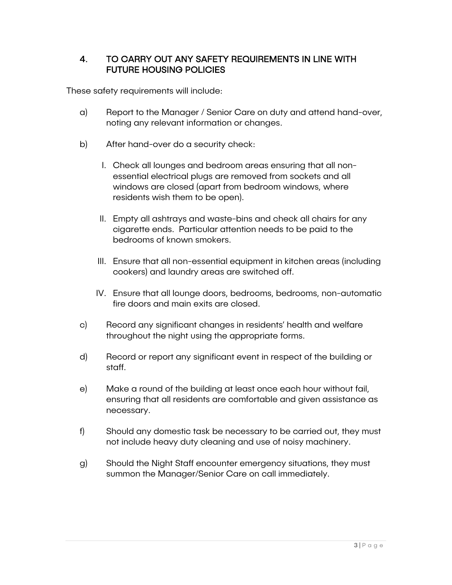#### 4. TO CARRY OUT ANY SAFETY REQUIREMENTS IN LINE WITH FUTURE HOUSING POLICIES

These safety requirements will include:

- a) Report to the Manager / Senior Care on duty and attend hand-over, noting any relevant information or changes.
- b) After hand-over do a security check:
	- I. Check all lounges and bedroom areas ensuring that all nonessential electrical plugs are removed from sockets and all windows are closed (apart from bedroom windows, where residents wish them to be open).
	- II. Empty all ashtrays and waste-bins and check all chairs for any cigarette ends. Particular attention needs to be paid to the bedrooms of known smokers.
	- III. Ensure that all non-essential equipment in kitchen areas (including cookers) and laundry areas are switched off.
	- IV. Ensure that all lounge doors, bedrooms, bedrooms, non-automatic fire doors and main exits are closed.
- c) Record any significant changes in residents' health and welfare throughout the night using the appropriate forms.
- d) Record or report any significant event in respect of the building or staff.
- e) Make a round of the building at least once each hour without fail, ensuring that all residents are comfortable and given assistance as necessary.
- f) Should any domestic task be necessary to be carried out, they must not include heavy duty cleaning and use of noisy machinery.
- g) Should the Night Staff encounter emergency situations, they must summon the Manager/Senior Care on call immediately.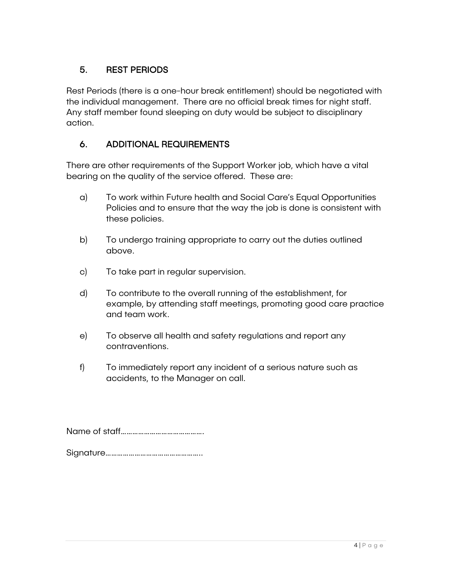## 5. REST PERIODS

Rest Periods (there is a one-hour break entitlement) should be negotiated with the individual management. There are no official break times for night staff. Any staff member found sleeping on duty would be subject to disciplinary action.

#### 6. ADDITIONAL REQUIREMENTS

There are other requirements of the Support Worker job, which have a vital bearing on the quality of the service offered. These are:

- a) To work within Future health and Social Care's Equal Opportunities Policies and to ensure that the way the job is done is consistent with these policies.
- b) To undergo training appropriate to carry out the duties outlined above.
- c) To take part in regular supervision.
- d) To contribute to the overall running of the establishment, for example, by attending staff meetings, promoting good care practice and team work.
- e) To observe all health and safety regulations and report any contraventions.
- f) To immediately report any incident of a serious nature such as accidents, to the Manager on call.

Name of staff…………………………………….

Signature…………………………………………..